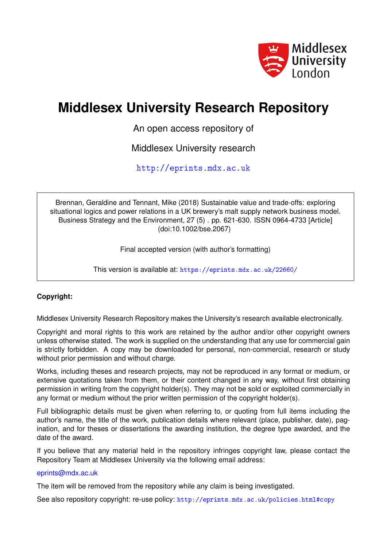

# **Middlesex University Research Repository**

An open access repository of

Middlesex University research

<http://eprints.mdx.ac.uk>

Brennan, Geraldine and Tennant, Mike (2018) Sustainable value and trade-offs: exploring situational logics and power relations in a UK brewery's malt supply network business model. Business Strategy and the Environment, 27 (5) . pp. 621-630. ISSN 0964-4733 [Article] (doi:10.1002/bse.2067)

Final accepted version (with author's formatting)

This version is available at: <https://eprints.mdx.ac.uk/22660/>

# **Copyright:**

Middlesex University Research Repository makes the University's research available electronically.

Copyright and moral rights to this work are retained by the author and/or other copyright owners unless otherwise stated. The work is supplied on the understanding that any use for commercial gain is strictly forbidden. A copy may be downloaded for personal, non-commercial, research or study without prior permission and without charge.

Works, including theses and research projects, may not be reproduced in any format or medium, or extensive quotations taken from them, or their content changed in any way, without first obtaining permission in writing from the copyright holder(s). They may not be sold or exploited commercially in any format or medium without the prior written permission of the copyright holder(s).

Full bibliographic details must be given when referring to, or quoting from full items including the author's name, the title of the work, publication details where relevant (place, publisher, date), pagination, and for theses or dissertations the awarding institution, the degree type awarded, and the date of the award.

If you believe that any material held in the repository infringes copyright law, please contact the Repository Team at Middlesex University via the following email address:

#### [eprints@mdx.ac.uk](mailto:eprints@mdx.ac.uk)

The item will be removed from the repository while any claim is being investigated.

See also repository copyright: re-use policy: <http://eprints.mdx.ac.uk/policies.html#copy>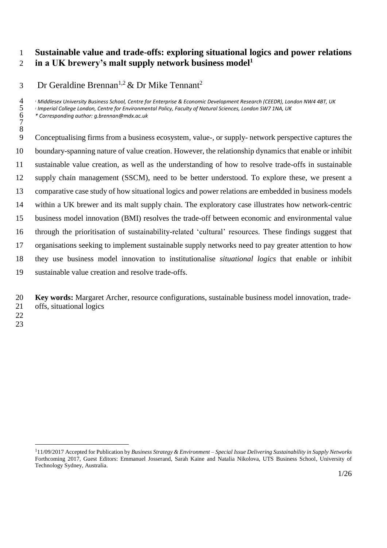#### **Sustainable value and trade-offs: exploring situational logics and power relations in a UK brewery's malt supply network business model<sup>1</sup>**

#### Dr Geraldine Brennan<sup>1,2</sup> & Dr Mike Tennant<sup>2</sup>

*<sup>1</sup> Middlesex University Business School, Centre for Enterprise & Economic Development Research (CEEDR), London NW4 4BT, UK*

<sup>2</sup> Imperial College London, Centre for Environmental Policy, Faculty of Natural Sciences, London SW7 1NA, UK

 *\* Corresponding author: g.brennan@mdx.ac.uk* 

- Conceptualising firms from a business ecosystem, value-, or supply- network perspective captures the boundary-spanning nature of value creation. However, the relationship dynamics that enable or inhibit sustainable value creation, as well as the understanding of how to resolve trade-offs in sustainable supply chain management (SSCM), need to be better understood. To explore these, we present a comparative case study of how situational logics and power relations are embedded in business models within a UK brewer and its malt supply chain. The exploratory case illustrates how network-centric business model innovation (BMI) resolves the trade-off between economic and environmental value through the prioritisation of sustainability-related 'cultural' resources. These findings suggest that organisations seeking to implement sustainable supply networks need to pay greater attention to how they use business model innovation to institutionalise *situational logics* that enable or inhibit sustainable value creation and resolve trade-offs.
- **Key words:** Margaret Archer, resource configurations, sustainable business model innovation, trade-offs, situational logics
- 
- 

 11/09/2017 Accepted for Publication by *Business Strategy & Environment – Special Issue Delivering Sustainability in Supply Networks* Forthcoming 2017, Guest Editors: Emmanuel Josserand, Sarah Kaine and Natalia Nikolova, UTS Business School, University of Technology Sydney, Australia.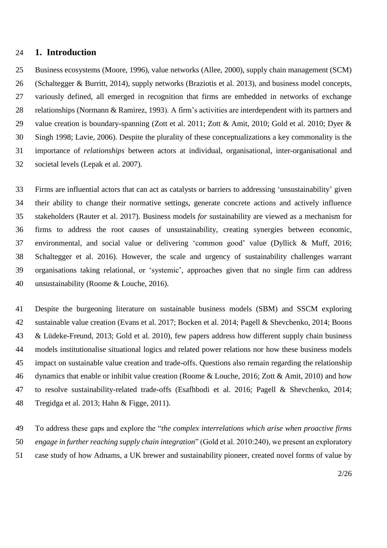#### **1. Introduction**

 Business ecosystems (Moore, 1996), value networks (Allee, 2000), supply chain management (SCM) (Schaltegger & Burritt, 2014), supply networks (Braziotis et al. 2013), and business model concepts, variously defined, all emerged in recognition that firms are embedded in networks of exchange relationships (Normann & Ramirez, 1993). A firm's activities are interdependent with its partners and 29 value creation is boundary-spanning (Zott et al. 2011; Zott & Amit, 2010; Gold et al. 2010; Dyer & Singh 1998; Lavie, 2006). Despite the plurality of these conceptualizations a key commonality is the importance of *relationships* between actors at individual, organisational, inter-organisational and societal levels (Lepak et al. 2007).

 Firms are influential actors that can act as catalysts or barriers to addressing 'unsustainability' given their ability to change their normative settings, generate concrete actions and actively influence stakeholders (Rauter et al. 2017). Business models *for* sustainability are viewed as a mechanism for firms to address the root causes of unsustainability, creating synergies between economic, environmental, and social value or delivering 'common good' value (Dyllick & Muff, 2016; Schaltegger et al. 2016). However, the scale and urgency of sustainability challenges warrant organisations taking relational, or 'systemic', approaches given that no single firm can address unsustainability (Roome & Louche, 2016).

 Despite the burgeoning literature on sustainable business models (SBM) and SSCM exploring sustainable value creation (Evans et al. 2017; Bocken et al. 2014; Pagell & Shevchenko, 2014; Boons & Lüdeke-Freund, 2013; Gold et al. 2010), few papers address how different supply chain business models institutionalise situational logics and related power relations nor how these business models impact on sustainable value creation and trade-offs. Questions also remain regarding the relationship dynamics that enable or inhibit value creation (Roome & Louche, 2016; Zott & Amit, 2010) and how to resolve sustainability-related trade-offs (Esafhbodi et al. 2016; Pagell & Shevchenko, 2014; Tregidga et al. 2013; Hahn & Figge, 2011).

 To address these gaps and explore the "*the complex interrelations which arise when proactive firms engage in further reaching supply chain integration*" (Gold et al. 2010:240), we present an exploratory case study of how Adnams, a UK brewer and sustainability pioneer, created novel forms of value by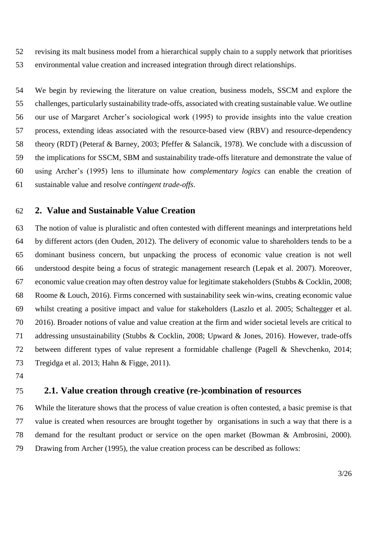revising its malt business model from a hierarchical supply chain to a supply network that prioritises environmental value creation and increased integration through direct relationships.

 We begin by reviewing the literature on value creation, business models, SSCM and explore the challenges, particularly sustainability trade-offs, associated with creating sustainable value. We outline our use of Margaret Archer's sociological work (1995) to provide insights into the value creation process, extending ideas associated with the resource-based view (RBV) and resource-dependency theory (RDT) (Peteraf & Barney, 2003; Pfeffer & Salancik, 1978). We conclude with a discussion of the implications for SSCM, SBM and sustainability trade-offs literature and demonstrate the value of using Archer's (1995) lens to illuminate how *complementary logics* can enable the creation of sustainable value and resolve *contingent trade-offs*.

# **2. Value and Sustainable Value Creation**

 The notion of value is pluralistic and often contested with different meanings and interpretations held by different actors (den Ouden, 2012). The delivery of economic value to shareholders tends to be a dominant business concern, but unpacking the process of economic value creation is not well understood despite being a focus of strategic management research (Lepak et al. 2007). Moreover, economic value creation may often destroy value for legitimate stakeholders (Stubbs & Cocklin, 2008; Roome & Louch, 2016). Firms concerned with sustainability seek win-wins, creating economic value whilst creating a positive impact and value for stakeholders (Laszlo et al. 2005; Schaltegger et al. 2016). Broader notions of value and value creation at the firm and wider societal levels are critical to addressing unsustainability (Stubbs & Cocklin, 2008; Upward & Jones, 2016). However, trade-offs between different types of value represent a formidable challenge (Pagell & Shevchenko, 2014; Tregidga et al. 2013; Hahn & Figge, 2011).

# **2.1. Value creation through creative (re-)combination of resources**

 While the literature shows that the process of value creation is often contested, a basic premise is that value is created when resources are brought together by organisations in such a way that there is a demand for the resultant product or service on the open market (Bowman & Ambrosini, 2000). Drawing from Archer (1995), the value creation process can be described as follows: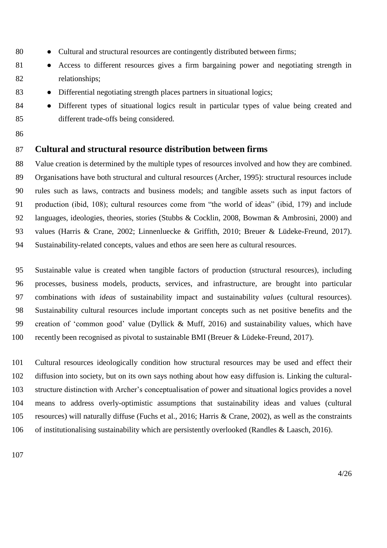- 80 Cultural and structural resources are contingently distributed between firms;
- 81 Access to different resources gives a firm bargaining power and negotiating strength in relationships;
- 83 Differential negotiating strength places partners in situational logics;
- 84 Different types of situational logics result in particular types of value being created and different trade-offs being considered.
- 

# **Cultural and structural resource distribution between firms**

 Value creation is determined by the multiple types of resources involved and how they are combined. Organisations have both structural and cultural resources (Archer, 1995): structural resources include rules such as laws, contracts and business models; and tangible assets such as input factors of production (ibid, 108); cultural resources come from "the world of ideas" (ibid, 179) and include languages, ideologies, theories, stories (Stubbs & Cocklin, 2008, Bowman & Ambrosini, 2000) and values (Harris & Crane, 2002; Linnenluecke & Griffith, 2010; Breuer & Lüdeke-Freund, 2017). Sustainability-related concepts, values and ethos are seen here as cultural resources.

 Sustainable value is created when tangible factors of production (structural resources), including processes, business models, products, services, and infrastructure, are brought into particular combinations with *ideas* of sustainability impact and sustainability *values* (cultural resources). Sustainability cultural resources include important concepts such as net positive benefits and the creation of 'common good' value (Dyllick & Muff, 2016) and sustainability values, which have recently been recognised as pivotal to sustainable BMI (Breuer & Lüdeke-Freund, 2017).

 Cultural resources ideologically condition how structural resources may be used and effect their diffusion into society, but on its own says nothing about how easy diffusion is. Linking the cultural- structure distinction with Archer's conceptualisation of power and situational logics provides a novel means to address overly-optimistic assumptions that sustainability ideas and values (cultural resources) will naturally diffuse (Fuchs et al., 2016; Harris & Crane, 2002), as well as the constraints of institutionalising sustainability which are persistently overlooked (Randles & Laasch, 2016).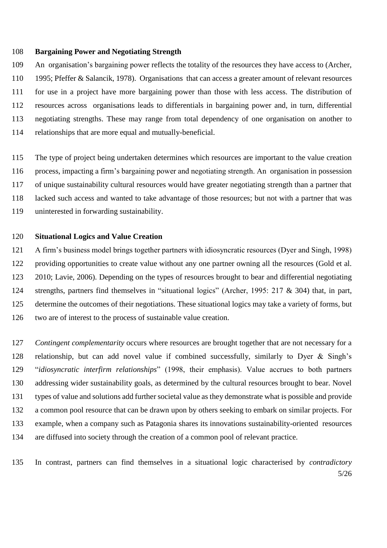#### **Bargaining Power and Negotiating Strength**

 An organisation's bargaining power reflects the totality of the resources they have access to (Archer, 1995; Pfeffer & Salancik, 1978). Organisations that can access a greater amount of relevant resources for use in a project have more bargaining power than those with less access. The distribution of resources across organisations leads to differentials in bargaining power and, in turn, differential negotiating strengths. These may range from total dependency of one organisation on another to relationships that are more equal and mutually-beneficial.

 The type of project being undertaken determines which resources are important to the value creation process, impacting a firm's bargaining power and negotiating strength. An organisation in possession of unique sustainability cultural resources would have greater negotiating strength than a partner that lacked such access and wanted to take advantage of those resources; but not with a partner that was uninterested in forwarding sustainability.

#### **Situational Logics and Value Creation**

 A firm's business model brings together partners with idiosyncratic resources (Dyer and Singh, 1998) providing opportunities to create value without any one partner owning all the resources (Gold et al. 2010; Lavie, 2006). Depending on the types of resources brought to bear and differential negotiating strengths, partners find themselves in "situational logics" (Archer, 1995: 217 & 304) that, in part, determine the outcomes of their negotiations. These situational logics may take a variety of forms, but two are of interest to the process of sustainable value creation.

 *Contingent complementarity* occurs where resources are brought together that are not necessary for a relationship, but can add novel value if combined successfully, similarly to Dyer & Singh's "*idiosyncratic interfirm relationships*" (1998, their emphasis). Value accrues to both partners addressing wider sustainability goals, as determined by the cultural resources brought to bear. Novel types of value and solutions add further societal value as they demonstrate what is possible and provide a common pool resource that can be drawn upon by others seeking to embark on similar projects. For example, when a company such as Patagonia shares its innovations sustainability-oriented resources are diffused into society through the creation of a common pool of relevant practice.

5/26 In contrast, partners can find themselves in a situational logic characterised by *contradictory*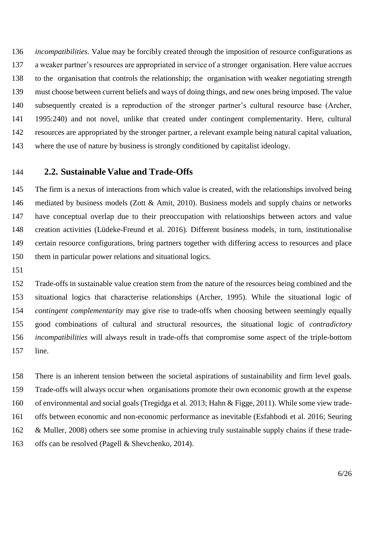*incompatibilities*. Value may be forcibly created through the imposition of resource configurations as a weaker partner's resources are appropriated in service of a stronger organisation. Here value accrues to the organisation that controls the relationship; the organisation with weaker negotiating strength must choose between current beliefs and ways of doing things, and new ones being imposed. The value subsequently created is a reproduction of the stronger partner's cultural resource base (Archer, 1995:240) and not novel, unlike that created under contingent complementarity. Here, cultural resources are appropriated by the stronger partner, a relevant example being natural capital valuation, where the use of nature by business is strongly conditioned by capitalist ideology.

# **2.2. Sustainable Value and Trade-Offs**

 The firm is a nexus of interactions from which value is created, with the relationships involved being mediated by business models (Zott & Amit, 2010). Business models and supply chains or networks have conceptual overlap due to their preoccupation with relationships between actors and value creation activities (Lüdeke-Freund et al. 2016). Different business models, in turn, institutionalise certain resource configurations, bring partners together with differing access to resources and place them in particular power relations and situational logics.

 Trade-offs in sustainable value creation stem from the nature of the resources being combined and the situational logics that characterise relationships (Archer, 1995). While the situational logic of *contingent complementarity* may give rise to trade-offs when choosing between seemingly equally good combinations of cultural and structural resources, the situational logic of *contradictory incompatibilities* will always result in trade-offs that compromise some aspect of the triple-bottom line.

 There is an inherent tension between the societal aspirations of sustainability and firm level goals. Trade-offs will always occur when organisations promote their own economic growth at the expense of environmental and social goals (Tregidga et al. 2013; Hahn & Figge, 2011). While some view trade- offs between economic and non-economic performance as inevitable (Esfahbodi et al. 2016; Seuring & Muller, 2008) others see some promise in achieving truly sustainable supply chains if these trade-offs can be resolved (Pagell & Shevchenko, 2014).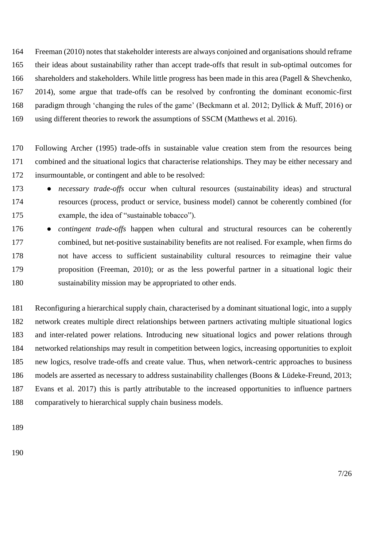Freeman (2010) notes that stakeholder interests are always conjoined and organisations should reframe their ideas about sustainability rather than accept trade-offs that result in sub-optimal outcomes for shareholders and stakeholders. While little progress has been made in this area (Pagell & Shevchenko, 2014), some argue that trade-offs can be resolved by confronting the dominant economic-first paradigm through 'changing the rules of the game' (Beckmann et al. 2012; Dyllick & Muff, 2016) or using different theories to rework the assumptions of SSCM (Matthews et al. 2016).

 Following Archer (1995) trade-offs in sustainable value creation stem from the resources being combined and the situational logics that characterise relationships. They may be either necessary and insurmountable, or contingent and able to be resolved:

- *necessary trade-offs* occur when cultural resources (sustainability ideas) and structural resources (process, product or service, business model) cannot be coherently combined (for example, the idea of "sustainable tobacco").
- 176 *contingent trade-offs* happen when cultural and structural resources can be coherently combined, but net-positive sustainability benefits are not realised. For example, when firms do not have access to sufficient sustainability cultural resources to reimagine their value proposition (Freeman, 2010); or as the less powerful partner in a situational logic their sustainability mission may be appropriated to other ends.

 Reconfiguring a hierarchical supply chain, characterised by a dominant situational logic, into a supply network creates multiple direct relationships between partners activating multiple situational logics and inter-related power relations. Introducing new situational logics and power relations through networked relationships may result in competition between logics, increasing opportunities to exploit new logics, resolve trade-offs and create value. Thus, when network-centric approaches to business models are asserted as necessary to address sustainability challenges (Boons & Lüdeke-Freund, 2013; Evans et al. 2017) this is partly attributable to the increased opportunities to influence partners comparatively to hierarchical supply chain business models.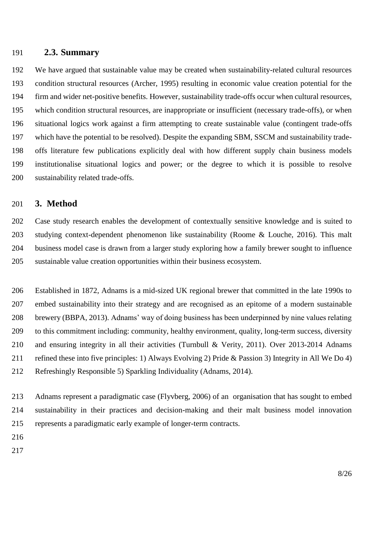#### **2.3. Summary**

 We have argued that sustainable value may be created when sustainability-related cultural resources condition structural resources (Archer, 1995) resulting in economic value creation potential for the firm and wider net-positive benefits. However, sustainability trade-offs occur when cultural resources, which condition structural resources, are inappropriate or insufficient (necessary trade-offs), or when situational logics work against a firm attempting to create sustainable value (contingent trade-offs which have the potential to be resolved). Despite the expanding SBM, SSCM and sustainability trade- offs literature few publications explicitly deal with how different supply chain business models institutionalise situational logics and power; or the degree to which it is possible to resolve sustainability related trade-offs.

# **3. Method**

 Case study research enables the development of contextually sensitive knowledge and is suited to studying context-dependent phenomenon like sustainability (Roome & Louche, 2016). This malt business model case is drawn from a larger study exploring how a family brewer sought to influence sustainable value creation opportunities within their business ecosystem.

 Established in 1872, Adnams is a mid-sized UK regional brewer that committed in the late 1990s to embed sustainability into their strategy and are recognised as an epitome of a modern sustainable brewery (BBPA, 2013). Adnams' way of doing business has been underpinned by nine values relating to this commitment including: community, healthy environment, quality, long-term success, diversity and ensuring integrity in all their activities (Turnbull & Verity, 2011). Over 2013-2014 Adnams refined these into five principles: 1) Always Evolving 2) Pride & Passion 3) Integrity in All We Do 4) Refreshingly Responsible 5) Sparkling Individuality (Adnams, 2014).

 Adnams represent a paradigmatic case (Flyvberg, 2006) of an organisation that has sought to embed sustainability in their practices and decision-making and their malt business model innovation represents a paradigmatic early example of longer-term contracts.

- 
-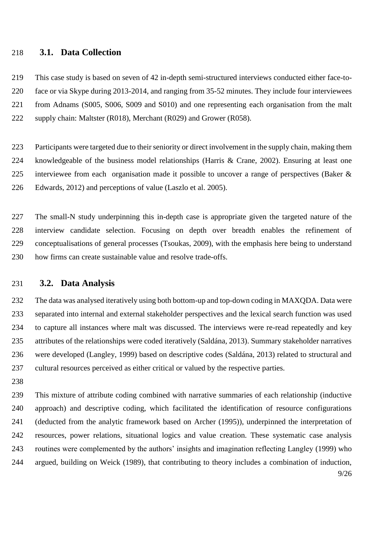#### **3.1. Data Collection**

 This case study is based on seven of 42 in-depth semi-structured interviews conducted either face-to- face or via Skype during 2013-2014, and ranging from 35-52 minutes. They include four interviewees from Adnams (S005, S006, S009 and S010) and one representing each organisation from the malt 222 supply chain: Maltster (R018), Merchant (R029) and Grower (R058).

 Participants were targeted due to their seniority or direct involvement in the supply chain, making them knowledgeable of the business model relationships (Harris & Crane, 2002). Ensuring at least one interviewee from each organisation made it possible to uncover a range of perspectives (Baker & Edwards, 2012) and perceptions of value (Laszlo et al. 2005).

 The small-N study underpinning this in-depth case is appropriate given the targeted nature of the interview candidate selection. Focusing on depth over breadth enables the refinement of conceptualisations of general processes (Tsoukas, 2009), with the emphasis here being to understand how firms can create sustainable value and resolve trade-offs.

# **3.2. Data Analysis**

 The data was analysed iteratively using both bottom-up and top-down coding in MAXQDA. Data were separated into internal and external stakeholder perspectives and the lexical search function was used to capture all instances where malt was discussed. The interviews were re-read repeatedly and key attributes of the relationships were coded iteratively (Saldána, 2013). Summary stakeholder narratives were developed (Langley, 1999) based on descriptive codes (Saldána, 2013) related to structural and cultural resources perceived as either critical or valued by the respective parties.

9/26 This mixture of attribute coding combined with narrative summaries of each relationship (inductive approach) and descriptive coding, which facilitated the identification of resource configurations (deducted from the analytic framework based on Archer (1995)), underpinned the interpretation of resources, power relations, situational logics and value creation. These systematic case analysis routines were complemented by the authors' insights and imagination reflecting Langley (1999) who argued, building on Weick (1989), that contributing to theory includes a combination of induction,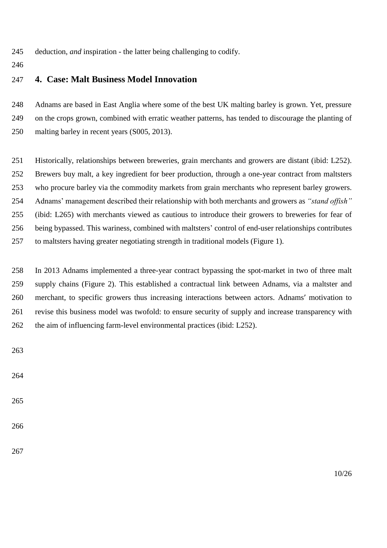- deduction, *and* inspiration *-* the latter being challenging to codify.
- 

# **4. Case: Malt Business Model Innovation**

 Adnams are based in East Anglia where some of the best UK malting barley is grown. Yet, pressure on the crops grown, combined with erratic weather patterns, has tended to discourage the planting of malting barley in recent years (S005, 2013).

 Historically, relationships between breweries, grain merchants and growers are distant (ibid: L252). Brewers buy malt, a key ingredient for beer production, through a one-year contract from maltsters who procure barley via the commodity markets from grain merchants who represent barley growers. Adnams' management described their relationship with both merchants and growers as *"stand offish"* (ibid: L265) with merchants viewed as cautious to introduce their growers to breweries for fear of being bypassed. This wariness, combined with maltsters' control of end-user relationships contributes to maltsters having greater negotiating strength in traditional models (Figure 1).

 In 2013 Adnams implemented a three-year contract bypassing the spot-market in two of three malt supply chains (Figure 2). This established a contractual link between Adnams, via a maltster and merchant, to specific growers thus increasing interactions between actors. Adnams' motivation to revise this business model was twofold: to ensure security of supply and increase transparency with the aim of influencing farm-level environmental practices (ibid: L252).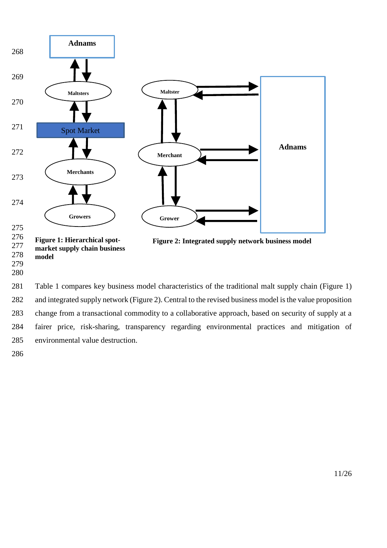

 and integrated supply network (Figure 2). Central to the revised business model is the value proposition change from a transactional commodity to a collaborative approach, based on security of supply at a fairer price, risk-sharing, transparency regarding environmental practices and mitigation of environmental value destruction.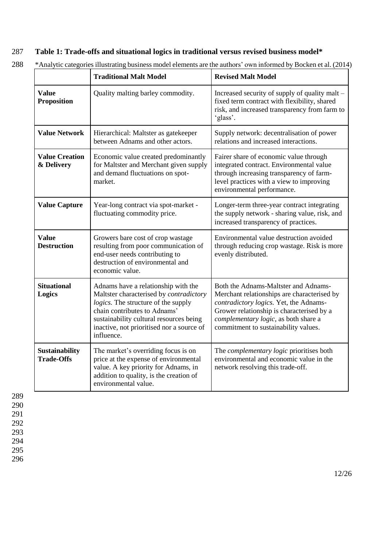# 287 **Table 1: Trade-offs and situational logics in traditional versus revised business model\***

|                                            | <b>Traditional Malt Model</b>                                                                                                                                                                                                                               | <b>Revised Malt Model</b>                                                                                                                                                                                                                                  |  |  |  |
|--------------------------------------------|-------------------------------------------------------------------------------------------------------------------------------------------------------------------------------------------------------------------------------------------------------------|------------------------------------------------------------------------------------------------------------------------------------------------------------------------------------------------------------------------------------------------------------|--|--|--|
| <b>Value</b><br><b>Proposition</b>         | Quality malting barley commodity.                                                                                                                                                                                                                           | Increased security of supply of quality malt –<br>fixed term contract with flexibility, shared<br>risk, and increased transparency from farm to<br>'glass'.                                                                                                |  |  |  |
| <b>Value Network</b>                       | Hierarchical: Maltster as gatekeeper<br>between Adnams and other actors.                                                                                                                                                                                    | Supply network: decentralisation of power<br>relations and increased interactions.                                                                                                                                                                         |  |  |  |
| <b>Value Creation</b><br>& Delivery        | Economic value created predominantly<br>for Maltster and Merchant given supply<br>and demand fluctuations on spot-<br>market.                                                                                                                               | Fairer share of economic value through<br>integrated contract. Environmental value<br>through increasing transparency of farm-<br>level practices with a view to improving<br>environmental performance.                                                   |  |  |  |
| <b>Value Capture</b>                       | Year-long contract via spot-market -<br>fluctuating commodity price.                                                                                                                                                                                        | Longer-term three-year contract integrating<br>the supply network - sharing value, risk, and<br>increased transparency of practices.                                                                                                                       |  |  |  |
| <b>Value</b><br><b>Destruction</b>         | Growers bare cost of crop wastage<br>resulting from poor communication of<br>end-user needs contributing to<br>destruction of environmental and<br>economic value.                                                                                          | Environmental value destruction avoided<br>through reducing crop wastage. Risk is more<br>evenly distributed.                                                                                                                                              |  |  |  |
| <b>Situational</b><br>Logics               | Adnams have a relationship with the<br>Maltster characterised by contradictory<br>logics. The structure of the supply<br>chain contributes to Adnams'<br>sustainability cultural resources being<br>inactive, not prioritised nor a source of<br>influence. | Both the Adnams-Maltster and Adnams-<br>Merchant relationships are characterised by<br>contradictory logics. Yet, the Adnams-<br>Grower relationship is characterised by a<br>complementary logic, as both share a<br>commitment to sustainability values. |  |  |  |
| <b>Sustainability</b><br><b>Trade-Offs</b> | The market's overriding focus is on<br>price at the expense of environmental<br>value. A key priority for Adnams, in<br>addition to quality, is the creation of<br>environmental value.                                                                     | The <i>complementary logic</i> prioritises both<br>environmental and economic value in the<br>network resolving this trade-off.                                                                                                                            |  |  |  |

288 \*Analytic categories illustrating business model elements are the authors' own informed by Bocken et al. (2014)

289 290 291

292

293 294

295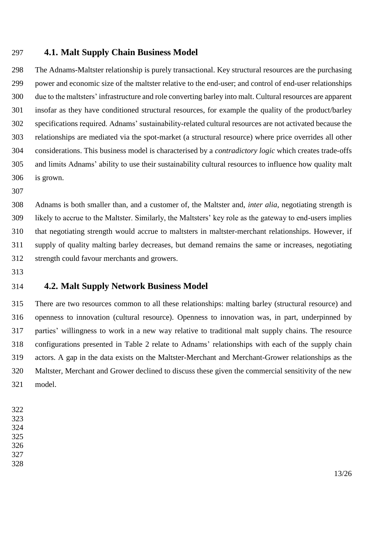## **4.1. Malt Supply Chain Business Model**

 The Adnams-Maltster relationship is purely transactional. Key structural resources are the purchasing power and economic size of the maltster relative to the end-user; and control of end-user relationships due to the maltsters' infrastructure and role converting barley into malt. Cultural resources are apparent insofar as they have conditioned structural resources, for example the quality of the product/barley specifications required. Adnams' sustainability-related cultural resources are not activated because the relationships are mediated via the spot-market (a structural resource) where price overrides all other considerations. This business model is characterised by a *contradictory logic* which creates trade-offs and limits Adnams' ability to use their sustainability cultural resources to influence how quality malt is grown.

 Adnams is both smaller than, and a customer of, the Maltster and, *inter alia*, negotiating strength is likely to accrue to the Maltster. Similarly, the Maltsters' key role as the gateway to end-users implies 310 that negotiating strength would accrue to maltsters in maltster-merchant relationships. However, if supply of quality malting barley decreases, but demand remains the same or increases, negotiating strength could favour merchants and growers.

# **4.2. Malt Supply Network Business Model**

 There are two resources common to all these relationships: malting barley (structural resource) and openness to innovation (cultural resource). Openness to innovation was, in part, underpinned by parties' willingness to work in a new way relative to traditional malt supply chains. The resource configurations presented in Table 2 relate to Adnams' relationships with each of the supply chain actors. A gap in the data exists on the Maltster-Merchant and Merchant-Grower relationships as the Maltster, Merchant and Grower declined to discuss these given the commercial sensitivity of the new model.

- 
- 
- 
- 
-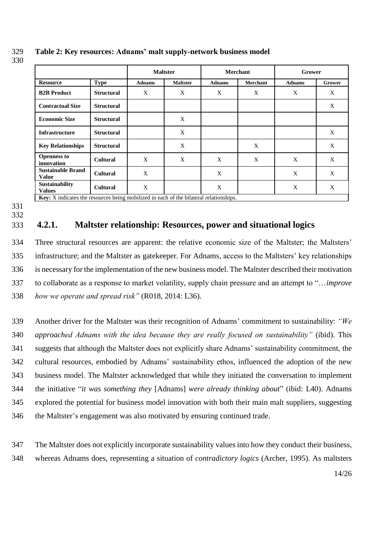|                                          |                   | <b>Maltster</b> |                 | <b>Merchant</b> |          | Grower        |               |  |
|------------------------------------------|-------------------|-----------------|-----------------|-----------------|----------|---------------|---------------|--|
| <b>Resource</b>                          | <b>Type</b>       | <b>Adnams</b>   | <b>Maltster</b> | <b>Adnams</b>   | Merchant | <b>Adnams</b> | <b>Grower</b> |  |
| <b>B2B Product</b>                       | <b>Structural</b> | X               | X               | X               | X        | X             | X             |  |
| <b>Contractual Size</b>                  | <b>Structural</b> |                 |                 |                 |          |               | X             |  |
| <b>Economic Size</b>                     | <b>Structural</b> |                 | X               |                 |          |               |               |  |
| <b>Infrastructure</b>                    | <b>Structural</b> |                 | X               |                 |          |               | X             |  |
| <b>Key Relationships</b>                 | <b>Structural</b> |                 | X               |                 | X        |               | X             |  |
| <b>Openness to</b><br>innovation         | <b>Cultural</b>   | X               | X               | X               | X        | X             | X             |  |
| <b>Sustainable Brand</b><br><b>Value</b> | <b>Cultural</b>   | X               |                 | X               |          | X             | X             |  |
| <b>Sustainability</b><br><b>Values</b>   | <b>Cultural</b>   | X               |                 | X               |          | X             | X             |  |

#### 329 **Table 2: Key resources: Adnams' malt supply-network business model**

**Key:** *X* indicates the resources being mobilized in each of the bilateral relationships.

#### 331 332

330

# 333 **4.2.1. Maltster relationship: Resources, power and situational logics**

 Three structural resources are apparent: the relative economic size of the Maltster; the Maltsters' infrastructure; and the Maltster as gatekeeper. For Adnams, access to the Maltsters' key relationships is necessary for the implementation of the new business model. The Maltster described their motivation to collaborate as a response to market volatility, supply chain pressure and an attempt to "…*improve how we operate and spread risk"* (R018, 2014: L36).

 Another driver for the Maltster was their recognition of Adnams' commitment to sustainability: *"We approached Adnams with the idea because they are really focused on sustainability"* (ibid). This suggests that although the Maltster does not explicitly share Adnams' sustainability commitment, the cultural resources, embodied by Adnams' sustainability ethos, influenced the adoption of the new business model. The Maltster acknowledged that while they initiated the conversation to implement the initiative "*it was something they* [Adnams] *were already thinking about*" (ibid: L40). Adnams explored the potential for business model innovation with both their main malt suppliers, suggesting the Maltster's engagement was also motivated by ensuring continued trade.

347 The Maltster does not explicitly incorporate sustainability values into how they conduct their business, 348 whereas Adnams does, representing a situation of *contradictory logics* (Archer, 1995). As maltsters

14/26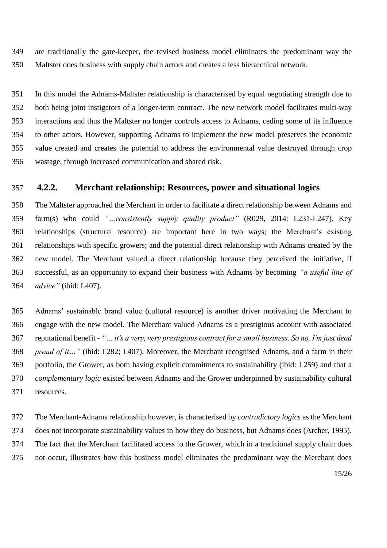are traditionally the gate-keeper, the revised business model eliminates the predominant way the Maltster does business with supply chain actors and creates a less hierarchical network.

 In this model the Adnams-Maltster relationship is characterised by equal negotiating strength due to both being joint instigators of a longer-term contract. The new network model facilitates multi-way interactions and thus the Maltster no longer controls access to Adnams, ceding some of its influence to other actors. However, supporting Adnams to implement the new model preserves the economic value created and creates the potential to address the environmental value destroyed through crop wastage, through increased communication and shared risk.

#### **4.2.2. Merchant relationship: Resources, power and situational logics**

 The Maltster approached the Merchant in order to facilitate a direct relationship between Adnams and farm(s) who could *"…consistently supply quality product"* (R029, 2014: L231-L247). Key relationships (structural resource) are important here in two ways; the Merchant's existing relationships with specific growers; and the potential direct relationship with Adnams created by the new model. The Merchant valued a direct relationship because they perceived the initiative, if successful, as an opportunity to expand their business with Adnams by becoming *"a useful line of advice"* (ibid: L407).

 Adnams' sustainable brand value (cultural resource) is another driver motivating the Merchant to engage with the new model. The Merchant valued Adnams as a prestigious account with associated reputational benefit - *"… it's a very, very prestigious contract for a small business. So no, I'm just dead proud of it…"* (ibid: L282; L407). Moreover, the Merchant recognised Adnams, and a farm in their portfolio, the Grower, as both having explicit commitments to sustainability (ibid: L259) and that a *complementary logic* existed between Adnams and the Grower underpinned by sustainability cultural resources.

 The Merchant-Adnams relationship however, is characterised by *contradictory logics* as the Merchant does not incorporate sustainability values in how they do business, but Adnams does (Archer, 1995). The fact that the Merchant facilitated access to the Grower, which in a traditional supply chain does not occur, illustrates how this business model eliminates the predominant way the Merchant does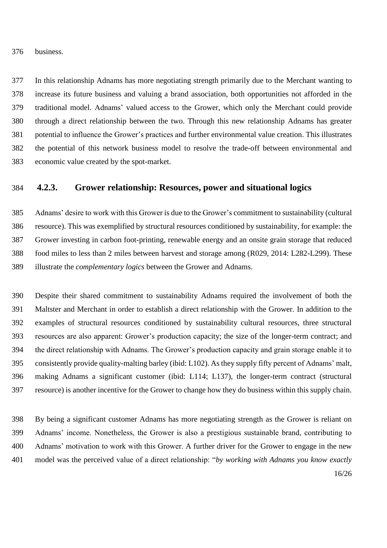business.

 In this relationship Adnams has more negotiating strength primarily due to the Merchant wanting to increase its future business and valuing a brand association, both opportunities not afforded in the traditional model. Adnams' valued access to the Grower, which only the Merchant could provide through a direct relationship between the two. Through this new relationship Adnams has greater potential to influence the Grower's practices and further environmental value creation. This illustrates the potential of this network business model to resolve the trade-off between environmental and economic value created by the spot-market.

## **4.2.3. Grower relationship: Resources, power and situational logics**

 Adnams' desire to work with this Grower is due to the Grower's commitment to sustainability (cultural resource). This was exemplified by structural resources conditioned by sustainability, for example: the Grower investing in carbon foot-printing, renewable energy and an onsite grain storage that reduced food miles to less than 2 miles between harvest and storage among (R029, 2014: L282-L299). These illustrate the *complementary logics* between the Grower and Adnams.

 Despite their shared commitment to sustainability Adnams required the involvement of both the Maltster and Merchant in order to establish a direct relationship with the Grower. In addition to the examples of structural resources conditioned by sustainability cultural resources, three structural resources are also apparent: Grower's production capacity; the size of the longer-term contract; and the direct relationship with Adnams. The Grower's production capacity and grain storage enable it to consistently provide quality-malting barley (ibid: L102). As they supply fifty percent of Adnams' malt, making Adnams a significant customer (ibid: L114; L137), the longer-term contract (structural resource) is another incentive for the Grower to change how they do business within this supply chain.

16/26 By being a significant customer Adnams has more negotiating strength as the Grower is reliant on Adnams' income. Nonetheless, the Grower is also a prestigious sustainable brand, contributing to Adnams' motivation to work with this Grower. A further driver for the Grower to engage in the new model was the perceived value of a direct relationship: "*by working with Adnams you know exactly*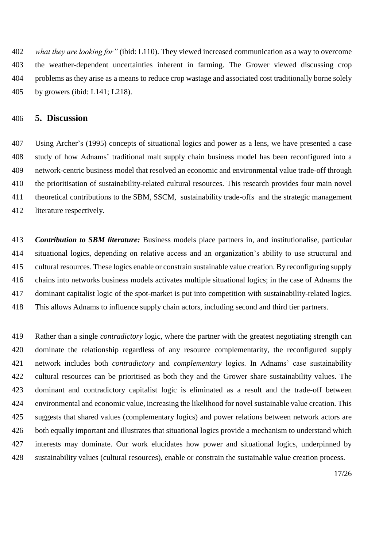*what they are looking for"* (ibid: L110). They viewed increased communication as a way to overcome the weather-dependent uncertainties inherent in farming. The Grower viewed discussing crop problems as they arise as a means to reduce crop wastage and associated cost traditionally borne solely by growers (ibid: L141; L218).

# **5. Discussion**

 Using Archer's (1995) concepts of situational logics and power as a lens, we have presented a case study of how Adnams' traditional malt supply chain business model has been reconfigured into a network-centric business model that resolved an economic and environmental value trade-off through the prioritisation of sustainability-related cultural resources. This research provides four main novel theoretical contributions to the SBM, SSCM, sustainability trade-offs and the strategic management literature respectively.

 *Contribution to SBM literature:* Business models place partners in, and institutionalise, particular situational logics, depending on relative access and an organization's ability to use structural and cultural resources. These logics enable or constrain sustainable value creation. By reconfiguring supply chains into networks business models activates multiple situational logics; in the case of Adnams the dominant capitalist logic of the spot-market is put into competition with sustainability-related logics. This allows Adnams to influence supply chain actors, including second and third tier partners.

 Rather than a single *contradictory* logic, where the partner with the greatest negotiating strength can dominate the relationship regardless of any resource complementarity, the reconfigured supply network includes both *contradictory* and *complementary* logics. In Adnams' case sustainability cultural resources can be prioritised as both they and the Grower share sustainability values. The dominant and contradictory capitalist logic is eliminated as a result and the trade-off between environmental and economic value, increasing the likelihood for novel sustainable value creation. This suggests that shared values (complementary logics) and power relations between network actors are both equally important and illustrates that situational logics provide a mechanism to understand which interests may dominate. Our work elucidates how power and situational logics, underpinned by sustainability values (cultural resources), enable or constrain the sustainable value creation process.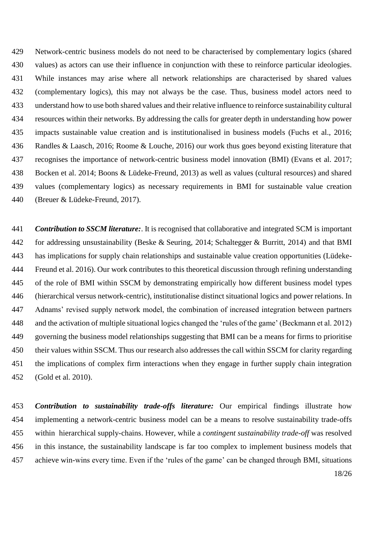Network-centric business models do not need to be characterised by complementary logics (shared values) as actors can use their influence in conjunction with these to reinforce particular ideologies. While instances may arise where all network relationships are characterised by shared values (complementary logics), this may not always be the case. Thus, business model actors need to understand how to use both shared values and their relative influence to reinforce sustainability cultural resources within their networks. By addressing the calls for greater depth in understanding how power impacts sustainable value creation and is institutionalised in business models (Fuchs et al., 2016; Randles & Laasch, 2016; Roome & Louche, 2016) our work thus goes beyond existing literature that recognises the importance of network-centric business model innovation (BMI) (Evans et al. 2017; Bocken et al. 2014; Boons & Lüdeke-Freund, 2013) as well as values (cultural resources) and shared values (complementary logics) as necessary requirements in BMI for sustainable value creation (Breuer & Lüdeke-Freund, 2017).

 *Contribution to SSCM literature:*. It is recognised that collaborative and integrated SCM is important for addressing unsustainability (Beske & Seuring, 2014; Schaltegger & Burritt, 2014) and that BMI has implications for supply chain relationships and sustainable value creation opportunities (Lüdeke- Freund et al. 2016). Our work contributes to this theoretical discussion through refining understanding of the role of BMI within SSCM by demonstrating empirically how different business model types (hierarchical versus network-centric), institutionalise distinct situational logics and power relations. In Adnams' revised supply network model, the combination of increased integration between partners and the activation of multiple situational logics changed the 'rules of the game' (Beckmann et al. 2012) governing the business model relationships suggesting that BMI can be a means for firms to prioritise their values within SSCM. Thus our research also addresses the call within SSCM for clarity regarding the implications of complex firm interactions when they engage in further supply chain integration (Gold et al. 2010).

18/26 *Contribution to sustainability trade-offs literature:* Our empirical findings illustrate how implementing a network-centric business model can be a means to resolve sustainability trade-offs within hierarchical supply-chains. However, while a *contingent sustainability trade-off* was resolved in this instance, the sustainability landscape is far too complex to implement business models that achieve win-wins every time. Even if the 'rules of the game' can be changed through BMI, situations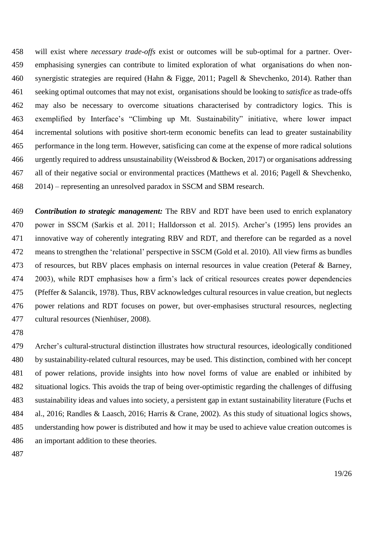will exist where *necessary trade-offs* exist or outcomes will be sub-optimal for a partner. Over- emphasising synergies can contribute to limited exploration of what organisations do when non- synergistic strategies are required (Hahn & Figge, 2011; Pagell & Shevchenko, 2014). Rather than seeking optimal outcomes that may not exist, organisations should be looking to *satisfice* as trade-offs may also be necessary to overcome situations characterised by contradictory logics. This is exemplified by Interface's "Climbing up Mt. Sustainability" initiative, where lower impact incremental solutions with positive short-term economic benefits can lead to greater sustainability performance in the long term. However, satisficing can come at the expense of more radical solutions urgently required to address unsustainability (Weissbrod & Bocken, 2017) or organisations addressing all of their negative social or environmental practices (Matthews et al. 2016; Pagell & Shevchenko, 2014) – representing an unresolved paradox in SSCM and SBM research.

 *Contribution to strategic management:* The RBV and RDT have been used to enrich explanatory power in SSCM (Sarkis et al. 2011; Halldorsson et al. 2015). Archer's (1995) lens provides an innovative way of coherently integrating RBV and RDT, and therefore can be regarded as a novel means to strengthen the 'relational' perspective in SSCM (Gold et al. 2010). All view firms as bundles of resources, but RBV places emphasis on internal resources in value creation (Peteraf & Barney, 2003), while RDT emphasises how a firm's lack of critical resources creates power dependencies (Pfeffer & Salancik, 1978). Thus, RBV acknowledges cultural resources in value creation, but neglects power relations and RDT focuses on power, but over-emphasises structural resources, neglecting cultural resources (Nienhüser, 2008).

 Archer's cultural-structural distinction illustrates how structural resources, ideologically conditioned by sustainability-related cultural resources, may be used. This distinction, combined with her concept of power relations, provide insights into how novel forms of value are enabled or inhibited by situational logics. This avoids the trap of being over-optimistic regarding the challenges of diffusing sustainability ideas and values into society, a persistent gap in extant sustainability literature (Fuchs et al., 2016; Randles & Laasch, 2016; Harris & Crane, 2002). As this study of situational logics shows, understanding how power is distributed and how it may be used to achieve value creation outcomes is an important addition to these theories.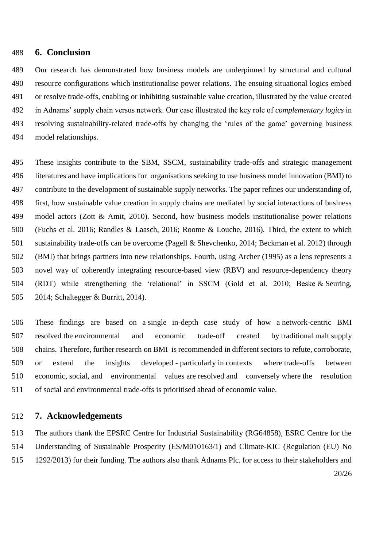#### **6. Conclusion**

 Our research has demonstrated how business models are underpinned by structural and cultural resource configurations which institutionalise power relations. The ensuing situational logics embed or resolve trade-offs, enabling or inhibiting sustainable value creation, illustrated by the value created in Adnams' supply chain versus network. Our case illustrated the key role of *complementary logics* in resolving sustainability-related trade-offs by changing the 'rules of the game' governing business model relationships.

 These insights contribute to the SBM, SSCM, sustainability trade-offs and strategic management literatures and have implications for organisations seeking to use business model innovation (BMI) to contribute to the development of sustainable supply networks. The paper refines our understanding of, first, how sustainable value creation in supply chains are mediated by social interactions of business model actors (Zott & Amit, 2010). Second, how business models institutionalise power relations (Fuchs et al. 2016; Randles & Laasch, 2016; Roome & Louche, 2016). Third, the extent to which sustainability trade-offs can be overcome (Pagell & Shevchenko, 2014; Beckman et al. 2012) through (BMI) that brings partners into new relationships. Fourth, using Archer (1995) as a lens represents a novel way of coherently integrating resource-based view (RBV) and resource-dependency theory (RDT) while strengthening the 'relational' in SSCM (Gold et al. 2010; Beske & Seuring, 2014; Schaltegger & Burritt, 2014).

 These findings are based on a single in-depth case study of how a network-centric BMI resolved the environmental and economic trade-off created by traditional malt supply chains. Therefore, further research on BMI is recommended in different sectors to refute, corroborate, or extend the insights developed - particularly in contexts where trade-offs between economic, social, and environmental values are resolved and conversely where the resolution of social and environmental trade-offs is prioritised ahead of economic value.

#### **7. Acknowledgements**

20/26 The authors thank the EPSRC Centre for Industrial Sustainability (RG64858), ESRC Centre for the Understanding of Sustainable Prosperity (ES/M010163/1) and Climate-KIC (Regulation (EU) No 1292/2013) for their funding. The authors also thank Adnams Plc. for access to their stakeholders and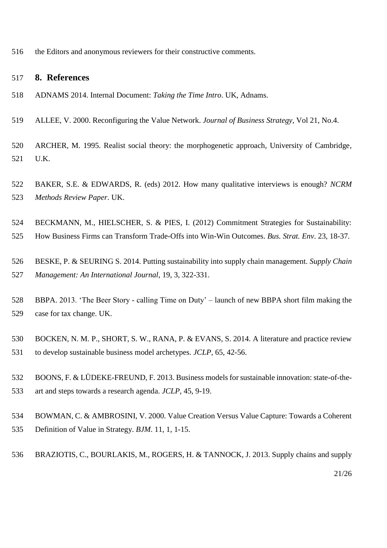the Editors and anonymous reviewers for their constructive comments.

#### **8. References**

- ADNAMS 2014. Internal Document: *Taking the Time Intro*. UK, Adnams.
- ALLEE, V. 2000. Reconfiguring the Value Network. *Journal of Business Strategy*, Vol 21, No.4.
- ARCHER, M. 1995. Realist social theory: the morphogenetic approach, University of Cambridge, U.K.
- BAKER, S.E. & EDWARDS, R. (eds) 2012. How many qualitative interviews is enough? *NCRM Methods Review Paper*. UK.
- BECKMANN, M., HIELSCHER, S. & PIES, I. (2012) Commitment Strategies for Sustainability:
- How Business Firms can Transform Trade-Offs into Win-Win Outcomes. *Bus. Strat. Env*. 23, 18-37.
- BESKE, P. & SEURING S. 2014. Putting sustainability into supply chain management. *Supply Chain Management: An International Journal*, 19, 3, 322-331.
- BBPA. 2013. 'The Beer Story calling Time on Duty' launch of new BBPA short film making the case for tax change. UK.
- BOCKEN, N. M. P., SHORT, S. W., RANA, P. & EVANS, S. 2014. A literature and practice review to develop sustainable business model archetypes. *JCLP*, 65, 42-56.
- BOONS, F. & LÜDEKE-FREUND, F. 2013. Business models for sustainable innovation: state-of-the-art and steps towards a research agenda. *JCLP*, 45, 9-19.
- BOWMAN, C. & AMBROSINI, V. 2000. Value Creation Versus Value Capture: Towards a Coherent Definition of Value in Strategy. *BJM*. 11, 1, 1-15.
- BRAZIOTIS, C., BOURLAKIS, M., ROGERS, H. & TANNOCK, J. 2013. Supply chains and supply

21/26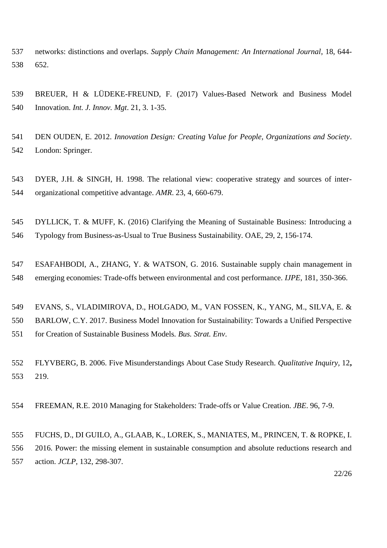- networks: distinctions and overlaps. *Supply Chain Management: An International Journal*, 18, 644- 652.
- BREUER, H & LÜDEKE-FREUND, F. (2017) Values-Based Network and Business Model Innovation. *Int. J. Innov. Mgt*. 21, 3. 1-35.
- DEN OUDEN, E. 2012. *Innovation Design: Creating Value for People, Organizations and Society*. London: Springer.
- DYER, J.H. & SINGH, H. 1998. The relational view: cooperative strategy and sources of inter-organizational competitive advantage. *AMR*. 23, 4, 660-679.
- DYLLICK, T. & MUFF, K. (2016) Clarifying the Meaning of Sustainable Business: Introducing a Typology from Business-as-Usual to True Business Sustainability. OAE, 29, 2, 156-174.
- ESAFAHBODI, A., ZHANG, Y. & WATSON, G. 2016. Sustainable supply chain management in emerging economies: Trade-offs between environmental and cost performance. *IJPE*, [181,](http://www.sciencedirect.com/science/journal/09255273/181/part/PB) 350-366.
- EVANS, S., VLADIMIROVA, D., HOLGADO, M., VAN FOSSEN, K., YANG, M., SILVA, E. &
- BARLOW, C.Y. 2017. Business Model Innovation for Sustainability: Towards a Unified Perspective for Creation of Sustainable Business Models*. Bus. Strat. Env*.
- FLYVBERG, B. 2006. Five Misunderstandings About Case Study Research. *Qualitative Inquiry,* 12**,** 219.
- FREEMAN, R.E. 2010 Managing for Stakeholders: Trade-offs or Value Creation. *JBE*. 96, 7-9.
- FUCHS, D., DI GUILO, A., GLAAB, K., LOREK, S., MANIATES, M., PRINCEN, T. & ROPKE, I. 2016. Power: the missing element in sustainable consumption and absolute reductions research and action. *JCLP*, 132, 298-307.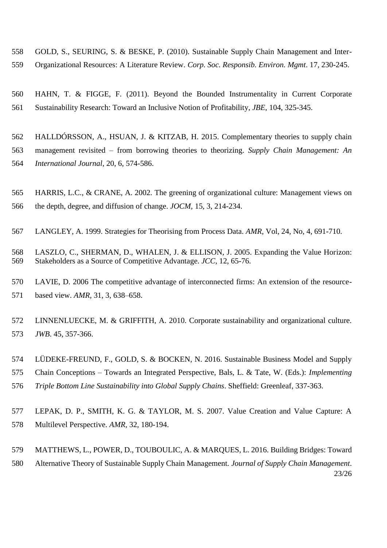- GOLD, S., SEURING, S. & BESKE, P. (2010). Sustainable Supply Chain Management and Inter-Organizational Resources: A Literature Review. *Corp. Soc. Responsib. Environ. Mgmt*. 17, 230-245.
- HAHN, T. & FIGGE, F. (2011). Beyond the Bounded Instrumentality in Current Corporate Sustainability Research: Toward an Inclusive Notion of Profitability, *JBE*, 104, 325-345.
- HALLDÓRSSON, A., HSUAN, J. & KITZAB, H. 2015. Complementary theories to supply chain management revisited – from borrowing theories to theorizing. *Supply Chain Management: An International Journal*, 20, 6, 574-586.
- HARRIS, L.C., & CRANE, A. 2002. The greening of organizational culture: Management views on the depth, degree, and diffusion of change. *JOCM*, 15, 3, 214-234.
- LANGLEY, A. 1999. Strategies for Theorising from Process Data. *AMR*, Vol, 24, No, 4, 691-710.
- LASZLO, C., SHERMAN, D., WHALEN, J. & ELLISON, J. 2005. Expanding the Value Horizon: Stakeholders as a Source of Competitive Advantage. *JCC*, 12, 65-76.
- LAVIE, D. 2006 The competitive advantage of interconnected firms: An extension of the resource-based view. *AMR*, 31, 3, 638–658.
- LINNENLUECKE, M. & GRIFFITH, A. 2010. Corporate sustainability and organizational culture. *JWB*. 45, 357-366.
- LÜDEKE-FREUND, F., GOLD, S. & BOCKEN, N. 2016. Sustainable Business Model and Supply Chain Conceptions – Towards an Integrated Perspective, Bals, L. & Tate, W. (Eds.): *Implementing Triple Bottom Line Sustainability into Global Supply Chains*. Sheffield: Greenleaf, 337-363.
- 
- LEPAK, D. P., SMITH, K. G. & TAYLOR, M. S. 2007. Value Creation and Value Capture: A Multilevel Perspective. *AMR,* 32, 180-194.
- 23/26 MATTHEWS, L., POWER, D., TOUBOULIC, A. & MARQUES, L. 2016. Building Bridges: Toward Alternative Theory of Sustainable Supply Chain Management. *Journal of Supply Chain Management*.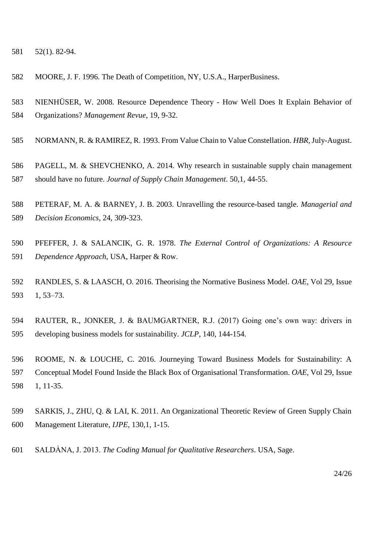52(1). 82-94.

- MOORE, J. F. 1996. The Death of Competition, NY, U.S.A., HarperBusiness.
- NIENHÜSER, W. 2008. Resource Dependence Theory How Well Does It Explain Behavior of Organizations? *Management Revue*, 19, 9-32.
- NORMANN, R. & RAMIREZ, R. 1993. From Value Chain to Value Constellation. *HBR,*July-August.
- PAGELL, M. & SHEVCHENKO, A. 2014. Why research in sustainable supply chain management should have no future. *Journal of Supply Chain Management*. 50,1, 44-55.
- PETERAF, M. A. & BARNEY, J. B. 2003. Unravelling the resource-based tangle. *Managerial and Decision Economics*, 24, 309-323.
- PFEFFER, J. & SALANCIK, G. R. 1978. *The External Control of Organizations: A Resource Dependence Approach*, USA, Harper & Row.
- RANDLES, S. & LAASCH, O. 2016. Theorising the Normative Business Model. *OAE*, Vol 29, Issue 1, 53–73.
- RAUTER, R., JONKER, J. & BAUMGARTNER, R.J. (2017) Going one's own way: drivers in developing business models for sustainability. *JCLP*, 140, 144-154.
- ROOME, N. & LOUCHE, C. 2016. Journeying Toward Business Models for Sustainability: A Conceptual Model Found Inside the Black Box of Organisational Transformation. *OAE*, Vol 29, Issue 1, 11-35.
- SARKIS, J., ZHU, Q. & LAI, K. 2011. An Organizational Theoretic Review of Green Supply Chain Management Literature, *IJPE*, 130,1, 1-15.
- SALDȦNA, J. 2013. *The Coding Manual for Qualitative Researchers*. USA, Sage.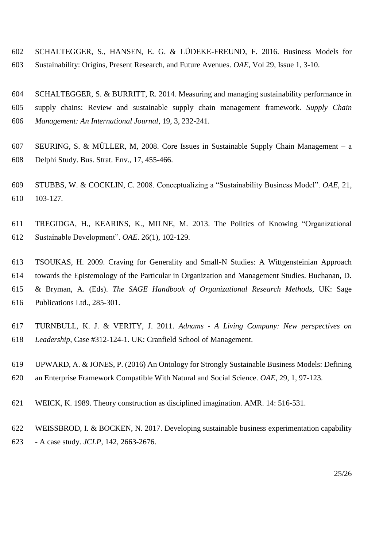- SCHALTEGGER, S., HANSEN, E. G. & LÜDEKE-FREUND, F. 2016. Business Models for Sustainability: Origins, Present Research, and Future Avenues. *OAE*, Vol 29, Issue 1, 3-10.
- SCHALTEGGER, S. & BURRITT, R. 2014. Measuring and managing sustainability performance in supply chains: Review and sustainable supply chain management framework. *Supply Chain Management: An International Journal*, 19, 3, 232-241.
- SEURING, S. & MÜLLER, M, 2008. Core Issues in Sustainable Supply Chain Management a Delphi Study. Bus. Strat. Env., 17, 455-466.
- STUBBS, W. & COCKLIN, C. 2008. Conceptualizing a "Sustainability Business Model". *OAE*, 21, 103-127.
- TREGIDGA, H., KEARINS, K., MILNE, M. 2013. The Politics of Knowing "Organizational Sustainable Development". *OAE*. 26(1), 102-129.
- TSOUKAS, H. 2009. Craving for Generality and Small-N Studies: A Wittgensteinian Approach towards the Epistemology of the Particular in Organization and Management Studies. Buchanan, D. & Bryman, A. (Eds). *The SAGE Handbook of Organizational Research Methods*, UK: Sage Publications Ltd., 285-301.
- TURNBULL, K. J. & VERITY, J. 2011. *Adnams - A Living Company: New perspectives on Leadership*, Case #312-124-1. UK: Cranfield School of Management.
- UPWARD, A. & JONES, P. (2016) An Ontology for Strongly Sustainable Business Models: Defining an Enterprise Framework Compatible With Natural and Social Science. *OAE*, 29, 1, 97-123.
- WEICK, K. 1989. Theory construction as disciplined imagination. AMR. 14: 516-531.
- WEISSBROD, I. & BOCKEN, N. 2017. Developing sustainable business experimentation capability - A case study. *JCLP,* 142, 2663-2676.